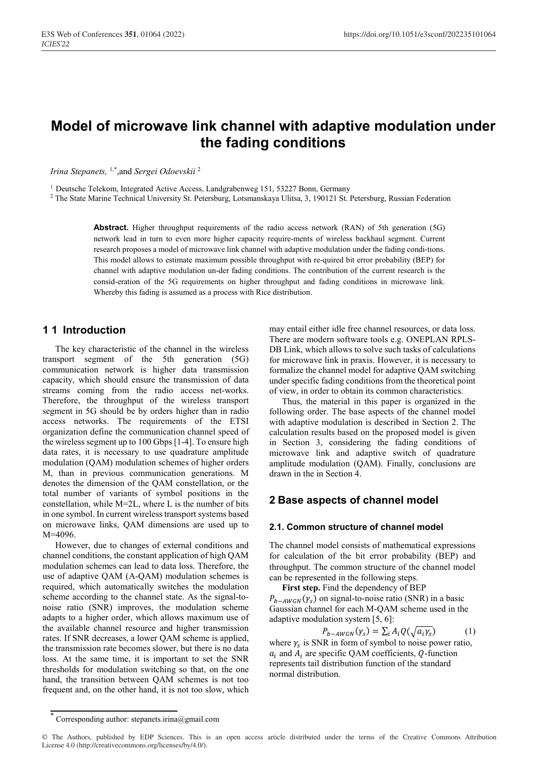# **Model of microwave link channel with adaptive modulation under the fading conditions**

*Irina Stepanets,* 1,\* ,and *Sergei Odoevskii* <sup>2</sup>

<sup>1</sup> Deutsche Telekom, Integrated Active Access, Landgrabenweg 151, 53227 Bonn, Germany

<sup>2</sup> The State Marine Technical University St. Petersburg, Lotsmanskaya Ulitsa, 3, 190121 St. Petersburg, Russian Federation

**Abstract.** Higher throughput requirements of the radio access network (RAN) of 5th generation (5G) network lead in turn to even more higher capacity require-ments of wireless backhaul segment. Current research proposes a model of microwave link channel with adaptive modulation under the fading condi-tions. This model allows to estimate maximum possible throughput with re-quired bit error probability (BEP) for channel with adaptive modulation un-der fading conditions. The contribution of the current research is the consid-eration of the 5G requirements on higher throughput and fading conditions in microwave link. Whereby this fading is assumed as a process with Rice distribution.

### **1 1 Introduction**

The key characteristic of the channel in the wireless transport segment of the 5th generation (5G) communication network is higher data transmission capacity, which should ensure the transmission of data streams coming from the radio access net-works. Therefore, the throughput of the wireless transport segment in 5G should be by orders higher than in radio access networks. The requirements of the ETSI organization define the communication channel speed of the wireless segment up to 100 Gbps [1-4]. To ensure high data rates, it is necessary to use quadrature amplitude modulation (QAM) modulation schemes of higher orders M, than in previous communication generations. M denotes the dimension of the QAM constellation, or the total number of variants of symbol positions in the constellation, while M=2L, where L is the number of bits in one symbol. In current wireless transport systems based on microwave links, QAM dimensions are used up to M=4096.

However, due to changes of external conditions and channel conditions, the constant application of high QAM modulation schemes can lead to data loss. Therefore, the use of adaptive QAM (A-QAM) modulation schemes is required, which automatically switches the modulation scheme according to the channel state. As the signal-tonoise ratio (SNR) improves, the modulation scheme adapts to a higher order, which allows maximum use of the available channel resource and higher transmission rates. If SNR decreases, a lower QAM scheme is applied, the transmission rate becomes slower, but there is no data loss. At the same time, it is important to set the SNR thresholds for modulation switching so that, on the one hand, the transition between QAM schemes is not too frequent and, on the other hand, it is not too slow, which may entail either idle free channel resources, or data loss. There are modern software tools e.g. ONEPLAN RPLS-DB Link, which allows to solve such tasks of calculations for microwave link in praxis. However, it is necessary to formalize the channel model for adaptive QAM switching under specific fading conditions from the theoretical point of view, in order to obtain its common characteristics.

Thus, the material in this paper is organized in the following order. The base aspects of the channel model with adaptive modulation is described in Section 2. The calculation results based on the proposed model is given in Section 3, considering the fading conditions of microwave link and adaptive switch of quadrature amplitude modulation (QAM). Finally, conclusions are drawn in the in Section 4.

### **2 Base aspects of channel model**

#### **2.1. Common structure of channel model**

The channel model consists of mathematical expressions for calculation of the bit error probability (BEP) and throughput. The common structure of the channel model can be represented in the following steps.

**First step.** Find the dependency of BEP  $P_{b-AWGN}(\gamma_s)$  on signal-to-noise ratio (SNR) in a basic Gaussian channel for each M-QAM scheme used in the adaptive modulation system [5, 6]:

$$
P_{b-AWGN}(\gamma_s) = \sum_i A_i Q(\sqrt{a_i \gamma_s}) \tag{1}
$$

where  $\gamma_s$  is SNR in form of symbol to noise power ratio,  $a_i$  and  $A_i$  are specific QAM coefficients, Q-function represents tail distribution function of the standard normal distribution.

Corresponding author: stepanets.irina@gmail.com

<sup>©</sup> The Authors, published by EDP Sciences. This is an open access article distributed under the terms of the Creative Commons Attribution License 4.0 (http://creativecommons.org/licenses/by/4.0/).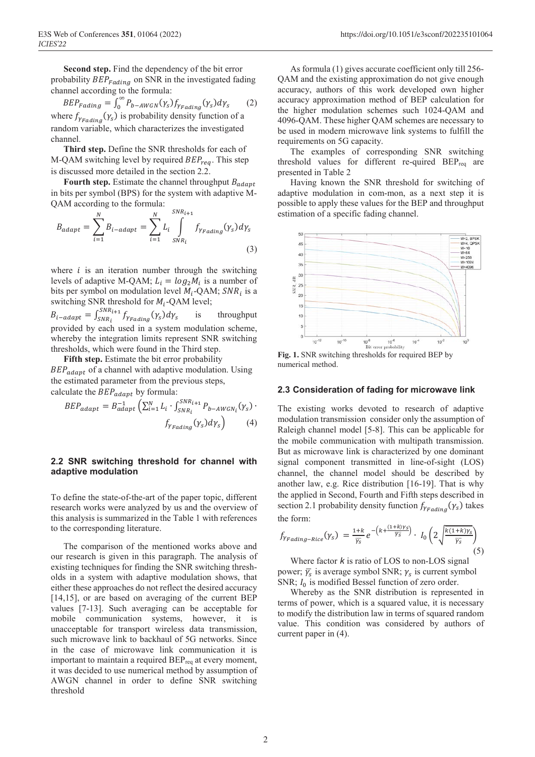**Second step.** Find the dependency of the bit error probability  $BEP_{Fading}$  on SNR in the investigated fading channel according to the formula:

$$
BEP_{Fading} = \int_0^\infty P_{b-AWGN}(Y_s) f_{YFading}(Y_s) dy_s
$$
 (2)  
where  $f_{YFading}(Y_s)$  is probability density function of a  
random variable, which characterizes the investigated  
channel.

**Third step.** Define the SNR thresholds for each of M-QAM switching level by required  $BEP_{rea}$ . This step is discussed more detailed in the section 2.2.

**Fourth step.** Estimate the channel throughput  $B_{adapt}$ in bits per symbol (BPS) for the system with adaptive M-QAM according to the formula:

$$
B_{adapt} = \sum_{i=1}^{N} B_{i-adapt} = \sum_{i=1}^{N} L_i \int_{SNR_i}^{SNR_{i+1}} f_{\gamma_{Fading}}(\gamma_s) d\gamma_s
$$
\n(3)

where  $i$  is an iteration number through the switching levels of adaptive M-QAM;  $L_i = log_2 M_i$  is a number of bits per symbol on modulation level  $M_i$ -QAM;  $SNR_i$  is a switching SNR threshold for  $M_i$ -QAM level;

 $B_{i-adapt} = \int_{SNR_i}^{SNR_{i+1}} f_{\gamma Fading}(\gamma_s) d\gamma_s$  is throughput provided by each used in a system modulation scheme, whereby the integration limits represent SNR switching thresholds, which were found in the Third step.

**Fifth step.** Estimate the bit error probability

 $BEP_{adapt}$  of a channel with adaptive modulation. Using the estimated parameter from the previous steps, calculate the  $BEP_{adapt}$  by formula:

$$
BEP_{adapt} = B_{adapt}^{-1} \left( \sum_{i=1}^{N} L_i \cdot \int_{SNR_i}^{SNR_{i+1}} P_{b-AWGN_i}(\gamma_s) \cdot \int_{\gamma_{Fading}} (\gamma_s) d\gamma_s \right)
$$
(4)

#### **2.2 SNR switching threshold for channel with adaptive modulation**

To define the state-of-the-art of the paper topic, different research works were analyzed by us and the overview of this analysis is summarized in the Table 1 with references to the corresponding literature.

The comparison of the mentioned works above and our research is given in this paragraph. The analysis of existing techniques for finding the SNR switching thresholds in a system with adaptive modulation shows, that either these approaches do not reflect the desired accuracy [14,15], or are based on averaging of the current BEP values [7-13]. Such averaging can be acceptable for mobile communication systems, however, it is unacceptable for transport wireless data transmission, such microwave link to backhaul of 5G networks. Since in the case of microwave link communication it is important to maintain a required BEP<sub>req</sub> at every moment, it was decided to use numerical method by assumption of AWGN channel in order to define SNR switching threshold

As formula (1) gives accurate coefficient only till 256- QAM and the existing approximation do not give enough accuracy, authors of this work developed own higher accuracy approximation method of BEP calculation for the higher modulation schemes such 1024-QAM and 4096-QAM. These higher QAM schemes are necessary to be used in modern microwave link systems to fulfill the requirements on 5G capacity.

The examples of corresponding SNR switching threshold values for different re-quired  $BEP_{req}$  are presented in Table 2

Having known the SNR threshold for switching of adaptive modulation in com-mon, as a next step it is possible to apply these values for the BEP and throughput estimation of a specific fading channel.



**Fig. 1.** SNR switching thresholds for required BEP by numerical method.

#### **2.3 Consideration of fading for microwave link**

The existing works devoted to research of adaptive modulation transmission consider only the assumption of Raleigh channel model [5-8]. This can be applicable for the mobile communication with multipath transmission. But as microwave link is characterized by one dominant signal component transmitted in line-of-sight (LOS) channel, the channel model should be described by another law, e.g. Rice distribution [16-19]. That is why the applied in Second, Fourth and Fifth steps described in section 2.1 probability density function  $f_{Y_{Eading}}(y_s)$  takes the form:

$$
f_{\gamma_{Fading-Rice}}(\gamma_s) = \frac{1+k}{\overline{\gamma_s}} e^{-\left(k + \frac{(1+k)\gamma_s}{\overline{\gamma_s}}\right)} \cdot I_0\left(2\sqrt{\frac{k(1+k)\gamma_s}{\overline{\gamma_s}}}\right)
$$
(5)

Where factor *k* is ratio of LOS to non-LOS signal power;  $\bar{\gamma_s}$  is average symbol SNR;  $\gamma_s$  is current symbol SNR;  $I_0$  is modified Bessel function of zero order.

Whereby as the SNR distribution is represented in terms of power, which is a squared value, it is necessary to modify the distribution law in terms of squared random value. This condition was considered by authors of current paper in (4).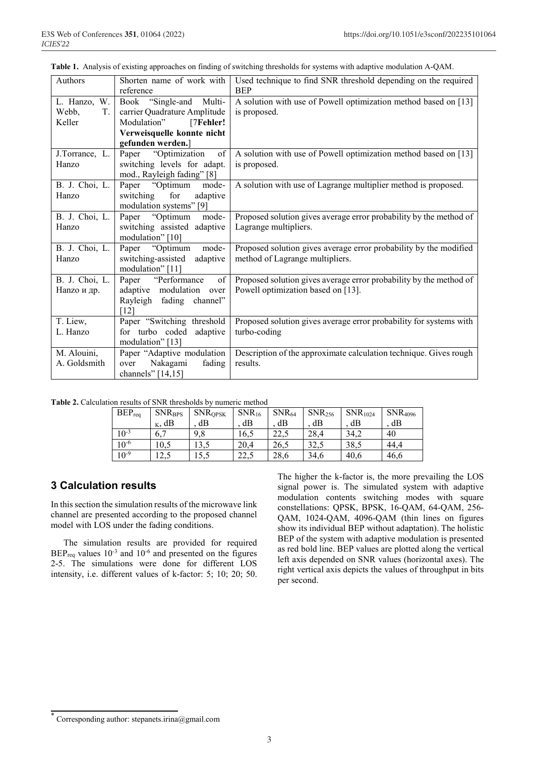|  |  |  | Table 1. Analysis of existing approaches on finding of switching thresholds for systems with adaptive modulation A-QAM. |  |  |  |  |  |  |  |
|--|--|--|-------------------------------------------------------------------------------------------------------------------------|--|--|--|--|--|--|--|
|--|--|--|-------------------------------------------------------------------------------------------------------------------------|--|--|--|--|--|--|--|

| Authors                                  | Shorten name of work with<br>reference                                                                                                 | Used technique to find SNR threshold depending on the required<br><b>BEP</b>                             |  |  |  |
|------------------------------------------|----------------------------------------------------------------------------------------------------------------------------------------|----------------------------------------------------------------------------------------------------------|--|--|--|
| L. Hanzo,<br>W.<br>Webb,<br>T.<br>Keller | Book "Single-and Multi-<br>carrier Quadrature Amplitude<br>[7Fehler!<br>Modulation"<br>Verweisquelle konnte nicht<br>gefunden werden.] | A solution with use of Powell optimization method based on [13]<br>is proposed.                          |  |  |  |
| J.Torrance, L.<br>Hanzo                  | Paper "Optimization"<br>of<br>switching levels for adapt.<br>mod., Rayleigh fading" [8]                                                | A solution with use of Powell optimization method based on [13]<br>is proposed.                          |  |  |  |
| B. J. Choi, L.<br>Hanzo                  | Paper "Optimum<br>mode-<br>for<br>switching<br>adaptive<br>modulation systems" [9]                                                     | A solution with use of Lagrange multiplier method is proposed.                                           |  |  |  |
| B. J. Choi, L.<br>Hanzo                  | mode-<br>Paper "Optimum"<br>switching assisted adaptive<br>modulation" [10]                                                            | Proposed solution gives average error probability by the method of<br>Lagrange multipliers.              |  |  |  |
| B. J. Choi, L.<br>Hanzo                  | Paper "Optimum<br>mode-<br>switching-assisted adaptive<br>modulation" [11]                                                             | Proposed solution gives average error probability by the modified<br>method of Lagrange multipliers.     |  |  |  |
| B. J. Choi, L.<br>Напzо и др.            | Paper "Performance"<br>of<br>adaptive modulation over<br>Rayleigh fading channel"<br>[12]                                              | Proposed solution gives average error probability by the method of<br>Powell optimization based on [13]. |  |  |  |
| T. Liew,<br>L. Hanzo                     | Paper "Switching threshold<br>for turbo coded adaptive<br>modulation" [13]                                                             | Proposed solution gives average error probability for systems with<br>turbo-coding                       |  |  |  |
| M. Alouini,<br>A. Goldsmith              | Paper "Adaptive modulation<br>Nakagami<br>fading<br>over<br>channels" $[14, 15]$                                                       | Description of the approximate calculation technique. Gives rough<br>results.                            |  |  |  |

**Table 2.** Calculation results of SNR thresholds by numeric method

| $BEP_{req}$ | <b>SNRBPS</b>                | <b>SNROPSK</b> | $SNR_{16}$    | $SNR_{64}$ | SNR <sub>256</sub> | SNR <sub>1024</sub> | <b>SNR</b> <sub>4096</sub> |
|-------------|------------------------------|----------------|---------------|------------|--------------------|---------------------|----------------------------|
|             | $_K$ , dB                    | dВ             | dB            | dВ         | dВ                 | dB                  | dB                         |
| $10^{-3}$   | 6.7                          | 9,8            | 16,5          | 22,5       | 28,4               | 34.2                | 40                         |
| $10^{-6}$   | 10,5                         | 13,5           | 20,4          | 26.5       | 32,5               | 38,5                | 44.4                       |
| $10^{-9}$   | $\cdot$ $\gamma$<br>ل د که 1 | 15.5           | つつ く<br>تحميك | 28,6       | 34,6               | 40,6                | 46.6                       |

### **3 Calculation results**

In this section the simulation results of the microwave link channel are presented according to the proposed channel model with LOS under the fading conditions.

The simulation results are provided for required  $BEP_{req}$  values  $10^{-3}$  and  $10^{-6}$  and presented on the figures 2-5. The simulations were done for different LOS intensity, i.e. different values of k-factor: 5; 10; 20; 50.

The higher the k-factor is, the more prevailing the LOS signal power is. The simulated system with adaptive modulation contents switching modes with square constellations: QPSK, BPSK, 16-QAM, 64-QAM, 256- QAM, 1024-QAM, 4096-QAM (thin lines on figures show its individual BEP without adaptation). The holistic BEP of the system with adaptive modulation is presented as red bold line. BEP values are plotted along the vertical left axis depended on SNR values (horizontal axes). The right vertical axis depicts the values of throughput in bits per second.

<sup>\*</sup> Corresponding author: stepanets.irina@gmail.com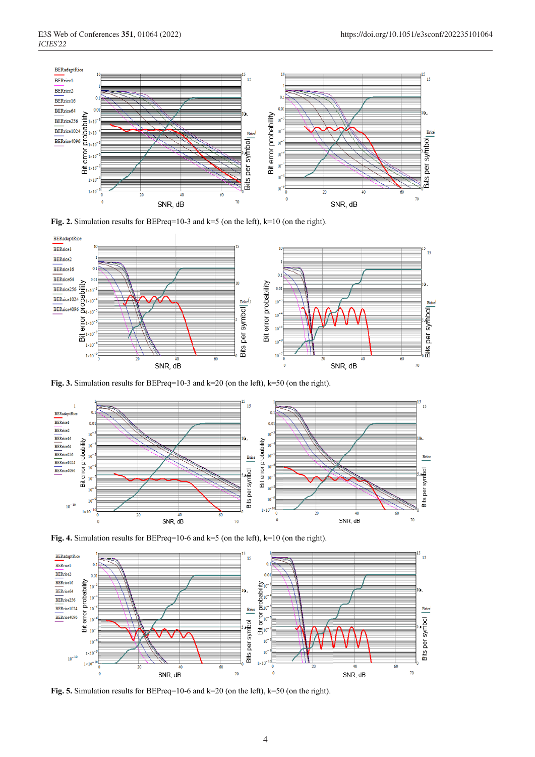

Fig. 2. Simulation results for BEPreq=10-3 and k=5 (on the left), k=10 (on the right).



**Fig. 3.** Simulation results for BEPreq=10-3 and k=20 (on the left), k=50 (on the right).



**Fig. 4.** Simulation results for BEPreq=10-6 and k=5 (on the left), k=10 (on the right).



**Fig. 5.** Simulation results for BEPreq=10-6 and k=20 (on the left), k=50 (on the right).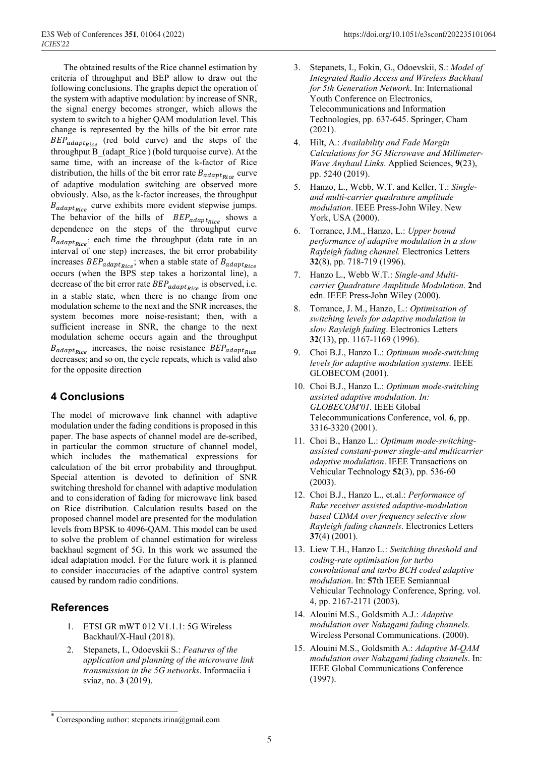The obtained results of the Rice channel estimation by criteria of throughput and BEP allow to draw out the following conclusions. The graphs depict the operation of the system with adaptive modulation: by increase of SNR, the signal energy becomes stronger, which allows the system to switch to a higher QAM modulation level. This change is represented by the hills of the bit error rate  $BEP_{adaptive}$  (red bold curve) and the steps of the throughput B\_(adapt\_Rice ) (bold turquoise curve). At the same time, with an increase of the k-factor of Rice distribution, the hills of the bit error rate  $B_{adaptRice}$  curve of adaptive modulation switching are observed more obviously. Also, as the k-factor increases, the throughput  $B_{adapthice}$  curve exhibits more evident stepwise jumps. The behavior of the hills of  $BEP_{adapt{Rice}}$  shows a dependence on the steps of the throughput curve  $B_{adapt_{Dice}}$ : each time the throughput (data rate in an interval of one step) increases, the bit error probability increases  $BEP_{adapt_{Rice}}$ ; when a stable state of  $B_{adapt_{Rice}}$ occurs (when the BPS step takes a horizontal line), a decrease of the bit error rate  $BEP_{adapt_{Rice}}$  is observed, i.e. in a stable state, when there is no change from one modulation scheme to the next and the SNR increases, the system becomes more noise-resistant; then, with a sufficient increase in SNR, the change to the next modulation scheme occurs again and the throughput  $B_{adapt_{Rice}}$  increases, the noise resistance  $BEP_{adapt_{Rice}}$ decreases; and so on, the cycle repeats, which is valid also for the opposite direction

# **4 Conclusions**

The model of microwave link channel with adaptive modulation under the fading conditions is proposed in this paper. The base aspects of channel model are de-scribed, in particular the common structure of channel model, which includes the mathematical expressions for calculation of the bit error probability and throughput. Special attention is devoted to definition of SNR switching threshold for channel with adaptive modulation and to consideration of fading for microwave link based on Rice distribution. Calculation results based on the proposed channel model are presented for the modulation levels from BPSK to 4096-QAM. This model can be used to solve the problem of channel estimation for wireless backhaul segment of 5G. In this work we assumed the ideal adaptation model. For the future work it is planned to consider inaccuracies of the adaptive control system caused by random radio conditions.

# **References**

- 1. ETSI GR mWT 012 V1.1.1: 5G Wireless Backhaul/X-Haul (2018).
- 2. Stepanets, I., Odoevskii S.: *Features of the application and planning of the microwave link transmission in the 5G networks*. Informaciia i sviaz, no. **3** (2019).
- 3. Stepanets, I., Fokin, G., Odoevskii, S.: *Model of Integrated Radio Access and Wireless Backhaul for 5th Generation Network*. In: International Youth Conference on Electronics, Telecommunications and Information Technologies, pp. 637-645. Springer, Cham (2021).
- 4. Hilt, A.: *Availability and Fade Margin Calculations for 5G Microwave and Millimeter-Wave Anyhaul Links*. Applied Sciences, **9**(23), pp. 5240 (2019).
- 5. Hanzo, L., Webb, W.T. and Keller, T.: *Singleand multi-carrier quadrature amplitude modulation*. IEEE Press-John Wiley. New York, USA (2000).
- 6. Torrance, J.M., Hanzo, L.: *Upper bound performance of adaptive modulation in a slow Rayleigh fading channel.* Electronics Letters **32**(8), pp. 718-719 (1996).
- 7. Hanzo L., Webb W.T.: *Single-and Multicarrier Quadrature Amplitude Modulation*. **2**nd edn. IEEE Press-John Wiley (2000).
- 8. Torrance, J. M., Hanzo, L.: *Optimisation of switching levels for adaptive modulation in slow Rayleigh fading*. Electronics Letters **32**(13), pp. 1167-1169 (1996).
- 9. Choi B.J., Hanzo L.: *Optimum mode-switching levels for adaptive modulation systems*. IEEE GLOBECOM (2001).
- 10. Choi B.J., Hanzo L.: *Optimum mode-switching assisted adaptive modulation. In: GLOBECOM'01.* IEEE Global Telecommunications Conference, vol. **6**, pp. 3316-3320 (2001).
- 11. Choi B., Hanzo L.: *Optimum mode-switchingassisted constant-power single-and multicarrier adaptive modulation*. IEEE Transactions on Vehicular Technology **52**(3), pp. 536-60 (2003).
- 12. Choi B.J., Hanzo L., et.al.: *Performance of Rake receiver assisted adaptive-modulation based CDMA over frequency selective slow Rayleigh fading channels*. Electronics Letters **37**(4) (2001).
- 13. Liew T.H., Hanzo L.: *Switching threshold and coding-rate optimisation for turbo convolutional and turbo BCH coded adaptive modulation*. In: **57**th IEEE Semiannual Vehicular Technology Conference, Spring. vol. 4, pp. 2167-2171 (2003).
- 14. Alouini M.S., Goldsmith A.J.: *Adaptive modulation over Nakagami fading channels*. Wireless Personal Communications. (2000).
- 15. Alouini M.S., Goldsmith A.: *Adaptive M-QAM modulation over Nakagami fading channels*. In: IEEE Global Communications Conference (1997).

Corresponding author: stepanets.irina@gmail.com